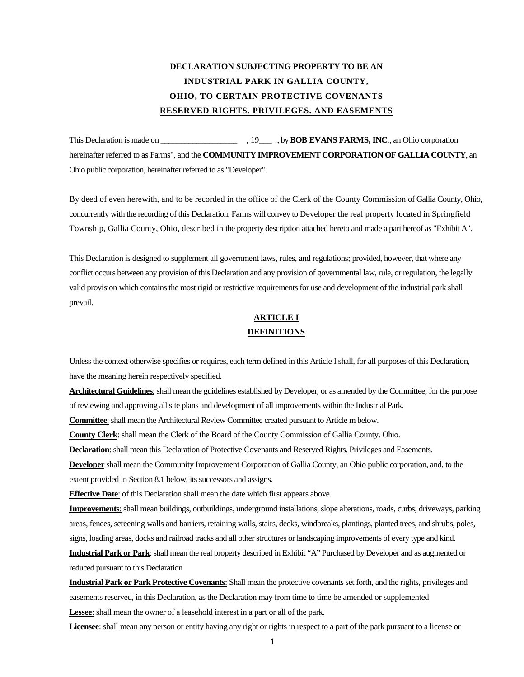# **DECLARATION SUBJECTING PROPERTY TO BE AN INDUSTRIAL PARK IN GALLIA COUNTY, OHIO, TO CERTAIN PROTECTIVE COVENANTS RESERVED RIGHTS. PRIVILEGES. AND EASEMENTS**

This Declaration is made on \_\_\_\_\_\_\_\_\_\_\_\_\_\_\_\_\_\_\_\_\_\_\_\_\_\_\_\_\_\_\_, by **BOB EVANS FARMS, INC**., an Ohio corporation hereinafter referred to as Farms", and the **COMMUNITY IMPROVEMENT CORPORATION OF GALLIA COUNTY**, an Ohio public corporation, hereinafter referred to as "Developer".

By deed of even herewith, and to be recorded in the office of the Clerk of the County Commission of Gallia County, Ohio, concurrently with the recording of this Declaration, Farms will convey to Developer the real property located in Springfield Township, Gallia County, Ohio, described in the property description attached hereto and made a part hereof as "Exhibit A".

This Declaration is designed to supplement all government laws, rules, and regulations; provided, however, that where any conflict occurs between any provision of this Declaration and any provision of governmental law, rule, or regulation, the legally valid provision which contains the most rigid or restrictive requirements for use and development of the industrial park shall prevail.

## **ARTICLE I DEFINITIONS**

Unless the context otherwise specifies or requires, each term defined in this Article I shall, for all purposes of this Declaration, have the meaning herein respectively specified.

**Architectural Guidelines**: shall mean the guidelines established by Developer, or as amended by the Committee, for the purpose of reviewing and approving all site plans and development of all improvements within the Industrial Park.

**Committee**: shall mean the Architectural Review Committee created pursuant to Article m below.

**County Clerk**: shall mean the Clerk of the Board of the County Commission of Gallia County. Ohio.

**Declaration**: shall mean this Declaration of Protective Covenants and Reserved Rights. Privileges and Easements.

**Developer** shall mean the Community Improvement Corporation of Gallia County, an Ohio public corporation, and, to the extent provided in Section 8.1 below, its successors and assigns.

**Effective Date:** of this Declaration shall mean the date which first appears above.

**Improvements**: shall mean buildings, outbuildings, underground installations, slope alterations, roads, curbs, driveways, parking areas, fences, screening walls and barriers, retaining walls, stairs, decks, windbreaks, plantings, planted trees, and shrubs, poles, signs, loading areas, docks and railroad tracks and all other structures or landscaping improvements of every type and kind.

**Industrial Park or Park**: shall mean the real property described in Exhibit "A" Purchased by Developer and as augmented or reduced pursuant to this Declaration

**Industrial Park or Park Protective Covenants**: Shall mean the protective covenants set forth, and the rights, privileges and easements reserved, in this Declaration, as the Declaration may from time to time be amended or supplemented **Lessee**: shall mean the owner of a leasehold interest in a part or all of the park.

**Licensee**: shall mean any person or entity having any right or rights in respect to a part of the park pursuant to a license or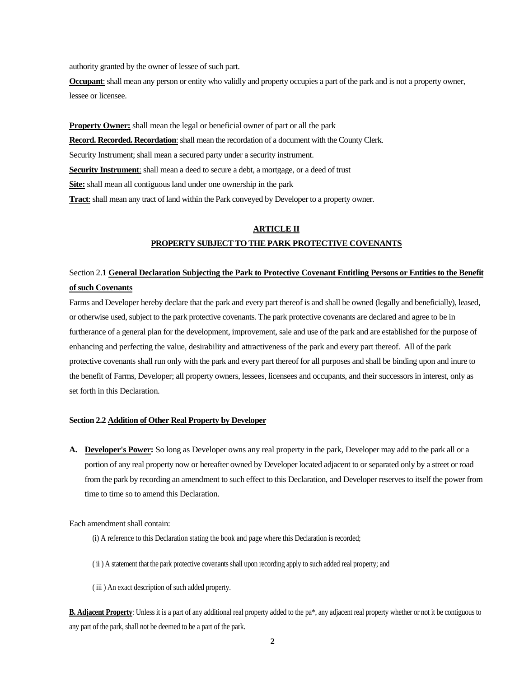authority granted by the owner of lessee of such part.

**Occupant**: shall mean any person or entity who validly and property occupies a part of the park and is not a property owner, lessee or licensee.

**Property Owner:** shall mean the legal or beneficial owner of part or all the park **Record. Recorded. Recordation:** shall mean the recordation of a document with the County Clerk. Security Instrument; shall mean a secured party under a security instrument. **Security Instrument**: shall mean a deed to secure a debt, a mortgage, or a deed of trust **Site:** shall mean all contiguous land under one ownership in the park **Tract**: shall mean any tract of land within the Park conveyed by Developer to a property owner.

## **ARTICLE II PROPERTY SUBJECT TO THE PARK PROTECTIVE COVENANTS**

## Section 2.**1 General Declaration Subjecting the Park to Protective Covenant Entitling Persons or Entities to the Benefit of such Covenants**

Farms and Developer hereby declare that the park and every part thereof is and shall be owned (legally and beneficially), leased, or otherwise used, subject to the park protective covenants. The park protective covenants are declared and agree to be in furtherance of a general plan for the development, improvement, sale and use of the park and are established for the purpose of enhancing and perfecting the value, desirability and attractiveness of the park and every part thereof. All of the park protective covenants shall run only with the park and every part thereof for all purposes and shall be binding upon and inure to the benefit of Farms, Developer; all property owners, lessees, licensees and occupants, and their successors in interest, only as set forth in this Declaration.

### **Section 2.2 Addition of Other Real Property by Developer**

**A. Developer's Power:** So long as Developer owns any real property in the park, Developer may add to the park all or a portion of any real property now or hereafter owned by Developer located adjacent to or separated only by a street or road from the park by recording an amendment to such effect to this Declaration, and Developer reserves to itself the power from time to time so to amend this Declaration.

Each amendment shall contain:

- (i) A reference to this Declaration stating the book and page where this Declaration is recorded;
- ( ii ) A statement that the park protective covenants shall upon recording apply to such added real property; and
- ( iii ) An exact description of such added property.

**B. Adjacent Property**: Unless it is a part of any additional real property added to the pa<sup>\*</sup>, any adjacent real property whether or not it be contiguous to any part of the park, shall not be deemed to be a part of the park.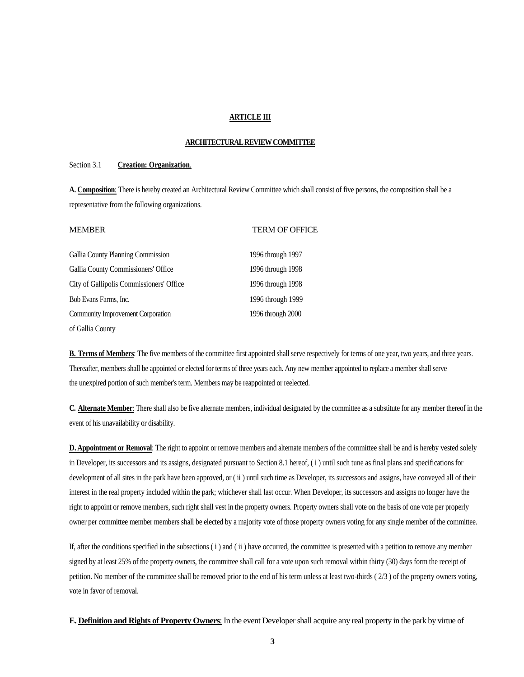### **ARTICLE III**

#### **ARCHITECTURALREVIEW COMMITTEE**

### Section 3.1 **Creation: Organization**.

**A. Composition**: There is hereby created an Architectural Review Committee which shall consist of five persons, the composition shall be a representative from the following organizations.

| <b>MEMBER</b>                            | <b>TERM OF OFFICE</b> |
|------------------------------------------|-----------------------|
| Gallia County Planning Commission        | 1996 through 1997     |
| Gallia County Commissioners' Office      | 1996 through 1998     |
| City of Gallipolis Commissioners' Office | 1996 through 1998     |
| Bob Evans Farms, Inc.                    | 1996 through 1999     |
| Community Improvement Corporation        | 1996 through 2000     |
| of Gallia County                         |                       |

**B. Terms of Members**: The five members of the committee first appointed shall serve respectively for terms of one year, two years, and three years. Thereafter, members shall be appointed or elected for terms of three years each. Any new member appointed to replace a member shall serve the unexpired portion of such member's term. Members may be reappointed or reelected.

**C. Alternate Member**: There shall also be five alternate members, individual designated by the committee as a substitute for any member thereof in the event of his unavailability or disability.

**D. Appointment or Removal**: The right to appoint or remove members and alternate members of the committee shall be and is hereby vested solely in Developer, its successors and its assigns, designated pursuant to Section 8.1 hereof, ( i ) until such tune as final plans and specifications for development of all sites in the park have been approved, or (ii) until such time as Developer, its successors and assigns, have conveyed all of their interest in the real property included within the park; whichever shall last occur. When Developer, its successors and assigns no longer have the right to appoint or remove members, such right shall vest in the property owners. Property owners shall vote on the basis of one vote per properly owner per committee member members shall be elected by a majority vote of those property owners voting for any single member of the committee.

If, after the conditions specified in the subsections  $(i)$  and  $(ii)$  have occurred, the committee is presented with a petition to remove any member signed by at least 25% of the property owners, the committee shall call for a vote upon such removal within thirty (30) days form the receipt of petition. No member of the committee shall be removed prior to the end of his term unless at least two-thirds ( 2/3 ) of the property owners voting, vote in favor of removal.

**E. Definition and Rights of Property Owners**: In the event Developer shall acquire any real property in the park by virtue of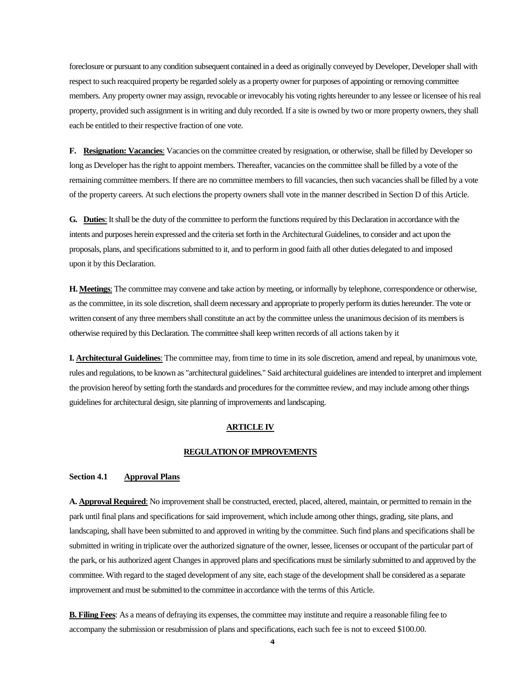foreclosure or pursuant to any condition subsequent contained in a deed as originally conveyed by Developer, Developer shall with respect to such reacquired property be regarded solely as a property owner for purposes of appointing or removing committee members. Any property owner may assign, revocable or irrevocably his voting rights hereunder to any lessee or licensee of his real property, provided such assignment is in writing and duly recorded. If a site is owned by two or more property owners, they shall each be entitled to their respective fraction of one vote.

**F. Resignation: Vacancies**: Vacancies on the committee created by resignation, or otherwise, shall be filled by Developer so long as Developer has the right to appoint members. Thereafter, vacancies on the committee shall be filled by a vote of the remaining committee members. If there are no committee members to fill vacancies, then such vacancies shall be filled by a vote of the property careers. At such elections the property owners shall vote in the manner described in Section D of this Article.

**G. Duties**: It shall be the duty of the committee to perform the functions required by this Declaration in accordance with the intents and purposes herein expressed and the criteria set forth in the Architectural Guidelines, to consider and act upon the proposals, plans, and specifications submitted to it, and to perform in good faith all other duties delegated to and imposed upon it by this Declaration.

**H. Meetings**: The committee may convene and take action by meeting, or informally by telephone, correspondence or otherwise, as the committee, in its sole discretion, shall deem necessary and appropriate to properly perform its duties hereunder. The vote or written consent of any three members shall constitute an act by the committee unless the unanimous decision of its members is otherwise required by this Declaration. The committee shall keep written records of all actions taken by it

**I. Architectural Guidelines**: The committee may, from time to time in its sole discretion, amend and repeal, by unanimous vote, rules and regulations, to be known as "architectural guidelines." Said architectural guidelines are intended to interpret and implement the provision hereof by setting forth the standards and procedures for the committee review, and may include among other things guidelines for architectural design, site planning of improvements and landscaping.

### **ARTICLE IV**

### **REGULATION OF IMPROVEMENTS**

### **Section 4.1 Approval Plans**

**A. Approval Required**: No improvement shall be constructed, erected, placed, altered, maintain, or permitted to remain in the park until final plans and specifications for said improvement, which include among other things, grading, site plans, and landscaping, shall have been submitted to and approved in writing by the committee. Such find plans and specifications shall be submitted in writing in triplicate over the authorized signature of the owner, lessee, licenses or occupant of the particular part of the park, or his authorized agent Changes in approved plans and specifications must be similarly submitted to and approved by the committee. With regard to the staged development of any site, each stage of the development shall be considered as a separate improvement and must be submitted to the committee in accordance with the terms of this Article.

**B. Filing Fees**: As a means of defraying its expenses, the committee may institute and require a reasonable filing fee to accompany the submission or resubmission of plans and specifications, each such fee is not to exceed \$100.00.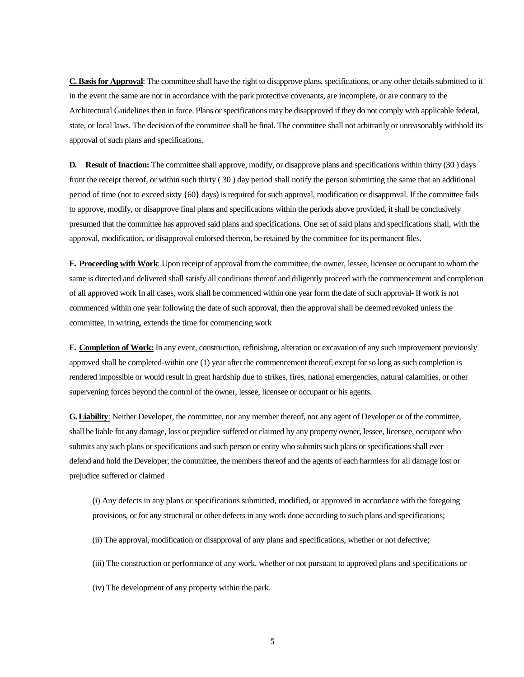**C. Basis for Approval**: The committee shall have the right to disapprove plans, specifications, or any other details submitted to it in the event the same are not in accordance with the park protective covenants, are incomplete, or are contrary to the Architectural Guidelines then in force. Plans or specifications may be disapproved if they do not comply with applicable federal, state, or local laws. The decision of the committee shall be final. The committee shall not arbitrarily or unreasonably withhold its approval of such plans and specifications.

**D. Result of Inaction:** The committee shall approve, modify, or disapprove plans and specifications within thirty (30 ) days front the receipt thereof, or within such thirty ( 30 ) day period shall notify the person submitting the same that an additional period of time (not to exceed sixty {60} days) is required for such approval, modification or disapproval. If the committee fails to approve, modify, or disapprove final plans and specifications within the periods above provided, it shall be conclusively presumed that the committee has approved said plans and specifications. One set of said plans and specifications shall, with the approval, modification, or disapproval endorsed thereon, be retained by the committee for its permanent files.

**E. Proceeding with Work**: Upon receipt of approval from the committee, the owner, lessee, licensee or occupant to whom the same is directed and delivered shall satisfy all conditions thereof and diligently proceed with the commencement and completion of all approved work In all cases, work shall be commenced within one year form the date of such approval- If work is not commenced within one year following the date of such approval, then the approval shall be deemed revoked unless the committee, in writing, extends the time for commencing work

**F. Completion of Work:** In any event, construction, refinishing, alteration or excavation of any such improvement previously approved shall be completed-within one (1) year after the commencement thereof, except for so long as such completion is rendered impossible or would result in great hardship due to strikes, fires, national emergencies, natural calamities, or other supervening forces beyond the control of the owner, lessee, licensee or occupant or his agents.

**G.Liability**: Neither Developer, the committee, nor any member thereof, nor any agent of Developer or of the committee, shall be liable for any damage, loss or prejudice suffered or claimed by any property owner, lessee, licensee, occupant who submits any such plans or specifications and such person or entity who submits such plans or specifications shall ever defend and hold the Developer, the committee, the members thereof and the agents of each harmless for all damage lost or prejudice suffered or claimed

(i) Any defects in any plans or specifications submitted, modified, or approved in accordance with the foregoing provisions, or for any structural or other defects in any work done according to such plans and specifications;

- (ii) The approval, modification or disapproval of any plans and specifications, whether or not defective;
- (iii) The construction or performance of any work, whether or not pursuant to approved plans and specifications or
- (iv) The development of any property within the park.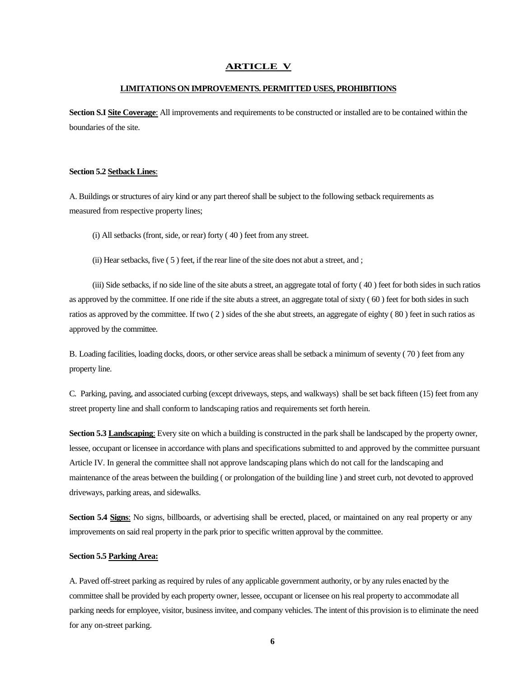#### **ARTICLE V**

### **LIMITATIONS ON IMPROVEMENTS. PERMITTED USES, PROHIBITIONS**

**Section S.I Site Coverage**: All improvements and requirements to be constructed or installed are to be contained within the boundaries of the site.

#### **Section 5.2 Setback Lines**:

A. Buildings or structures of airy kind or any part thereof shall be subject to the following setback requirements as measured from respective property lines;

(i) All setbacks (front, side, or rear) forty ( 40 ) feet from any street.

(ii) Hear setbacks, five ( 5 ) feet, if the rear line of the site does not abut a street, and ;

(iii) Side setbacks, if no side line of the site abuts a street, an aggregate total of forty ( 40 ) feet for both sides in such ratios as approved by the committee. If one ride if the site abuts a street, an aggregate total of sixty ( 60 ) feet for both sides in such ratios as approved by the committee. If two ( 2 ) sides of the she abut streets, an aggregate of eighty ( 80 ) feet in such ratios as approved by the committee.

B. Loading facilities, loading docks, doors, or other service areas shall be setback a minimum of seventy ( 70 ) feet from any property line.

C. Parking, paving, and associated curbing (except driveways, steps, and walkways) shall be set back fifteen (15) feet from any street property line and shall conform to landscaping ratios and requirements set forth herein.

**Section 5.3 Landscaping**: Every site on which a building is constructed in the park shall be landscaped by the property owner, lessee, occupant or licensee in accordance with plans and specifications submitted to and approved by the committee pursuant Article IV. In general the committee shall not approve landscaping plans which do not call for the landscaping and maintenance of the areas between the building ( or prolongation of the building line ) and street curb, not devoted to approved driveways, parking areas, and sidewalks.

**Section 5.4 Signs**: No signs, billboards, or advertising shall be erected, placed, or maintained on any real property or any improvements on said real property in the park prior to specific written approval by the committee.

#### **Section 5.5 Parking Area:**

A. Paved off-street parking as required by rules of any applicable government authority, or by any rules enacted by the committee shall be provided by each property owner, lessee, occupant or licensee on his real property to accommodate all parking needs for employee, visitor, business invitee, and company vehicles. The intent of this provision is to eliminate the need for any on-street parking.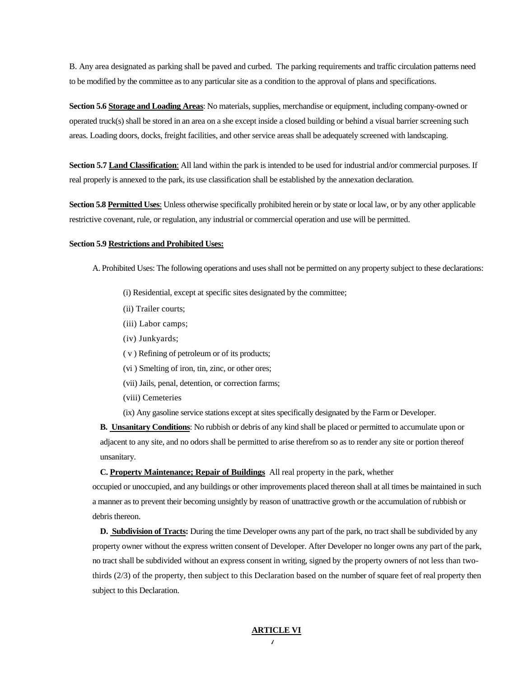B. Any area designated as parking shall be paved and curbed. The parking requirements and traffic circulation patterns need to be modified by the committee as to any particular site as a condition to the approval of plans and specifications.

**Section 5.6 Storage and Loading Areas**: No materials, supplies, merchandise or equipment, including company-owned or operated truck(s) shall be stored in an area on a she except inside a closed building or behind a visual barrier screening such areas. Loading doors, docks, freight facilities, and other service areas shall be adequately screened with landscaping.

**Section 5.7 Land Classification:** All land within the park is intended to be used for industrial and/or commercial purposes. If real properly is annexed to the park, its use classification shall be established by the annexation declaration.

**Section 5.8 Permitted Uses**: Unless otherwise specifically prohibited herein or by state or local law, or by any other applicable restrictive covenant, rule, or regulation, any industrial or commercial operation and use will be permitted.

#### **Section 5.9 Restrictions and Prohibited Uses:**

- A. Prohibited Uses: The following operations and uses shall not be permitted on any property subject to these declarations:
	- (i) Residential, except at specific sites designated by the committee;
	- (ii) Trailer courts;
	- (iii) Labor camps;
	- (iv) Junkyards;
	- ( v ) Refining of petroleum or of its products;
	- (vi ) Smelting of iron, tin, zinc, or other ores;
	- (vii) Jails, penal, detention, or correction farms;
	- (viii) Cemeteries
	- (ix) Any gasoline service stations except at sites specifically designated by the Farm or Developer.

**B. Unsanitary Conditions**: No rubbish or debris of any kind shall be placed or permitted to accumulate upon or adjacent to any site, and no odors shall be permitted to arise therefrom so as to render any site or portion thereof unsanitary.

**C. Property Maintenance; Repair of Buildings** All real property in the park, whether

occupied or unoccupied, and any buildings or other improvements placed thereon shall at all times be maintained in such a manner as to prevent their becoming unsightly by reason of unattractive growth or the accumulation of rubbish or debris thereon.

**D. Subdivision of Tracts:** During the time Developer owns any part of the park, no tract shall be subdivided by any property owner without the express written consent of Developer. After Developer no longer owns any part of the park, no tract shall be subdivided without an express consent in writing, signed by the property owners of not less than twothirds (2/3) of the property, then subject to this Declaration based on the number of square feet of real property then subject to this Declaration.

#### **ARTICLE VI**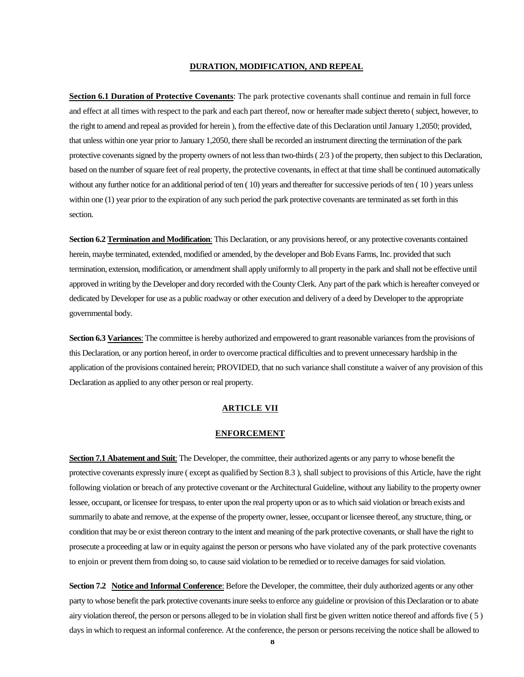### **DURATION, MODIFICATION, AND REPEAL**

**Section 6.1 Duration of Protective Covenants**: The park protective covenants shall continue and remain in full force and effect at all times with respect to the park and each part thereof, now or hereafter made subject thereto ( subject, however, to the right to amend and repeal as provided for herein ), from the effective date of this Declaration until January 1,2050; provided, that unless within one year prior to January 1,2050, there shall be recorded an instrument directing the termination of the park protective covenants signed by the property owners of not less than two-thirds ( 2/3 ) of the property, then subject to this Declaration, based on the number of square feet of real property, the protective covenants, in effect at that time shall be continued automatically without any further notice for an additional period of ten ( 10) years and thereafter for successive periods of ten ( 10 ) years unless within one (1) year prior to the expiration of any such period the park protective covenants are terminated as set forth in this section.

**Section 6.2 Termination and Modification**: This Declaration, or any provisions hereof, or any protective covenants contained herein, maybe terminated, extended, modified or amended, by the developer and Bob Evans Farms, Inc. provided that such termination, extension, modification, or amendment shall apply uniformly to all property in the park and shall not be effective until approved in writing by the Developer and dory recorded with the County Clerk. Any part of the park which is hereafter conveyed or dedicated by Developer for use as a public roadway or other execution and delivery of a deed by Developer to the appropriate governmental body.

**Section 6.3 Variances**: The committee is hereby authorized and empowered to grant reasonable variances from the provisions of this Declaration, or any portion hereof, in order to overcome practical difficulties and to prevent unnecessary hardship in the application of the provisions contained herein; PROVIDED, that no such variance shall constitute a waiver of any provision of this Declaration as applied to any other person or real property.

### **ARTICLE VII**

#### **ENFORCEMENT**

**Section 7.1 Abatement and Suit**: The Developer, the committee, their authorized agents or any parry to whose benefit the protective covenants expressly inure ( except as qualified by Section 8.3 ), shall subject to provisions of this Article, have the right following violation or breach of any protective covenant or the Architectural Guideline, without any liability to the property owner lessee, occupant, or licensee for trespass, to enter upon the real property upon or as to which said violation or breach exists and summarily to abate and remove, at the expense of the property owner, lessee, occupant or licensee thereof, any structure, thing, or condition that may be or exist thereon contrary to the intent and meaning of the park protective covenants, or shall have the right to prosecute a proceeding at law or in equity against the person or persons who have violated any of the park protective covenants to enjoin or prevent them from doing so, to cause said violation to be remedied or to receive damages for said violation.

**Section 7.2** Notice and Informal Conference: Before the Developer, the committee, their duly authorized agents or any other party to whose benefit the park protective covenants inure seeks to enforce any guideline or provision of this Declaration or to abate airy violation thereof, the person or persons alleged to be in violation shall first be given written notice thereof and affords five ( 5 ) days in which to request an informal conference. At the conference, the person or persons receiving the notice shall be allowed to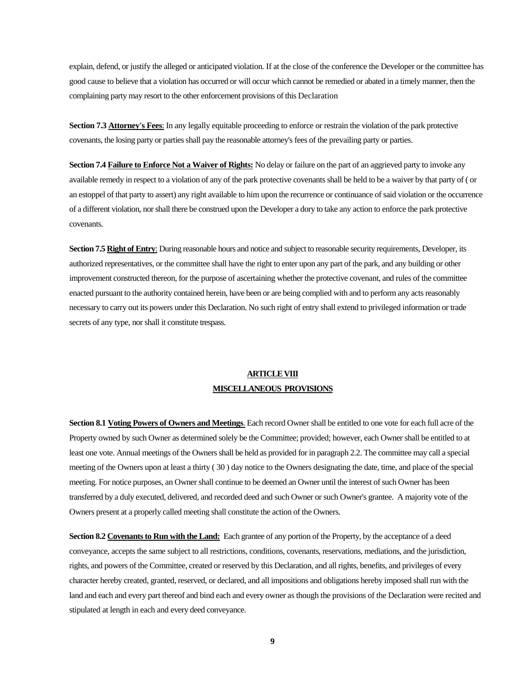explain, defend, or justify the alleged or anticipated violation. If at the close of the conference the Developer or the committee has good cause to believe that a violation has occurred or will occur which cannot be remedied or abated in a timely manner, then the complaining party may resort to the other enforcement provisions of this Declaration

**Section 7.3 Attorney's Fees**: In any legally equitable proceeding to enforce or restrain the violation of the park protective covenants, the losing party or parties shall pay the reasonable attorney's fees of the prevailing party or parties.

**Section 7.4 Failure to Enforce Not a Waiver of Rights:** No delay or failure on the part of an aggrieved party to invoke any available remedy in respect to a violation of any of the park protective covenants shall be held to be a waiver by that party of ( or an estoppel of that party to assert) any right available to him upon the recurrence or continuance of said violation or the occurrence of a different violation, nor shall there be construed upon the Developer a dory to take any action to enforce the park protective covenants.

**Section 7.5 Right of Entry:** During reasonable hours and notice and subject to reasonable security requirements, Developer, its authorized representatives, or the committee shall have the right to enter upon any part of the park, and any building or other improvement constructed thereon, for the purpose of ascertaining whether the protective covenant, and rules of the committee enacted pursuant to the authority contained herein, have been or are being complied with and to perform any acts reasonably necessary to carry out its powers under this Declaration. No such right of entry shall extend to privileged information or trade secrets of any type, nor shall it constitute trespass.

## **ARTICLEVIII MISCELLANEOUS PROVISIONS**

**Section 8.1 Voting Powers of Owners and Meetings**. Each record Owner shall be entitled to one vote for each full acre of the Property owned by such Owner as determined solely be the Committee; provided; however, each Owner shall be entitled to at least one vote. Annual meetings of the Owners shall be held as provided for in paragraph 2.2. The committee may call a special meeting of the Owners upon at least a thirty ( 30 ) day notice to the Owners designating the date, time, and place of the special meeting. For notice purposes, an Owner shall continue to be deemed an Owner until the interest of such Owner has been transferred by a duly executed, delivered, and recorded deed and such Owner or such Owner's grantee. A majority vote of the Owners present at a properly called meeting shall constitute the action of the Owners.

**Section 8.2 Covenants to Run with the Land:** Each grantee of any portion of the Property, by the acceptance of a deed conveyance, accepts the same subject to all restrictions, conditions, covenants, reservations, mediations, and the jurisdiction, rights, and powers of the Committee, created or reserved by this Declaration, and all rights, benefits, and privileges of every character hereby created, granted, reserved, or declared, and all impositions and obligations hereby imposed shall run with the land and each and every part thereof and bind each and every owner as though the provisions of the Declaration were recited and stipulated at length in each and every deed conveyance.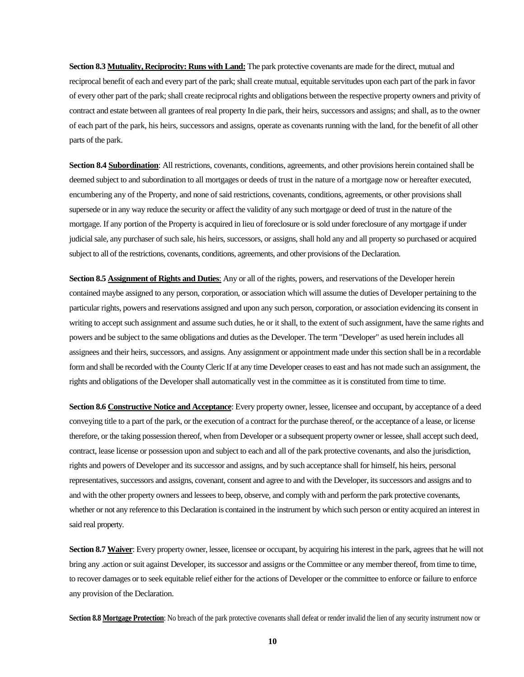**Section 8.3 Mutuality, Reciprocity: Runs with Land:** The park protective covenants are made for the direct, mutual and reciprocal benefit of each and every part of the park; shall create mutual, equitable servitudes upon each part of the park in favor of every other part of the park; shall create reciprocal rights and obligations between the respective property owners and privity of contract and estate between all grantees of real property In die park, their heirs, successors and assigns; and shall, as to the owner of each part of the park, his heirs, successors and assigns, operate as covenants running with the land, for the benefit of all other parts of the park.

**Section 8.4 Subordination**: All restrictions, covenants, conditions, agreements, and other provisions herein contained shall be deemed subject to and subordination to all mortgages or deeds of trust in the nature of a mortgage now or hereafter executed, encumbering any of the Property, and none of said restrictions, covenants, conditions, agreements, or other provisions shall supersede or in any way reduce the security or affect the validity of any such mortgage or deed of trust in the nature of the mortgage. If any portion of the Property is acquired in lieu of foreclosure or is sold under foreclosure of any mortgage if under judicial sale, any purchaser of such sale, his heirs, successors, or assigns, shall hold any and all property so purchased or acquired subject to all of the restrictions, covenants, conditions, agreements, and other provisions of the Declaration.

**Section 8.5 Assignment of Rights and Duties**: Any or all of the rights, powers, and reservations of the Developer herein contained maybe assigned to any person, corporation, or association which will assume the duties of Developer pertaining to the particular rights, powers and reservations assigned and upon any such person, corporation, or association evidencing its consent in writing to accept such assignment and assume such duties, he or it shall, to the extent of such assignment, have the same rights and powers and be subject to the same obligations and duties as the Developer. The term "Developer" as used herein includes all assignees and their heirs, successors, and assigns. Any assignment or appointment made under this section shall be in a recordable form and shall be recorded with the County Cleric If at any time Developer ceases to east and has not made such an assignment, the rights and obligations of the Developer shall automatically vest in the committee as it is constituted from time to time.

**Section 8.6 Constructive Notice and Acceptance**: Every property owner, lessee, licensee and occupant, by acceptance of a deed conveying title to a part of the park, or the execution of a contract for the purchase thereof, or the acceptance of a lease, or license therefore, or the taking possession thereof, when from Developer or a subsequent property owner or lessee, shall accept such deed, contract, lease license or possession upon and subject to each and all of the park protective covenants, and also the jurisdiction, rights and powers of Developer and its successor and assigns, and by such acceptance shall for himself, his heirs, personal representatives, successors and assigns, covenant, consent and agree to and with the Developer, its successors and assigns and to and with the other property owners and lessees to beep, observe, and comply with and perform the park protective covenants, whether or not any reference to this Declaration is contained in the instrument by which such person or entity acquired an interest in said real property.

**Section 8.7 Waiver:** Every property owner, lessee, licensee or occupant, by acquiring his interest in the park, agrees that he will not bring any .action or suit against Developer, its successor and assigns or the Committee or any member thereof, from time to time, to recover damages or to seek equitable relief either for the actions of Developer or the committee to enforce or failure to enforce any provision of the Declaration.

**Section 8.8 Mortgage Protection**: No breach of the park protective covenants shall defeat or render invalid the lien of any security instrument now or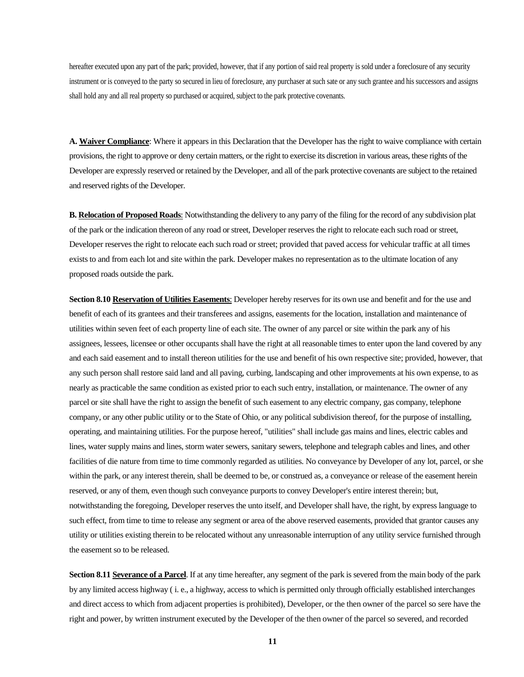hereafter executed upon any part of the park; provided, however, that if any portion of said real property is sold under a foreclosure of any security instrument or is conveyed to the party so secured in lieu of foreclosure, any purchaser at such sate or any such grantee and his successors and assigns shall hold any and all real property so purchased or acquired, subject to the park protective covenants.

**A. Waiver Compliance**: Where it appears in this Declaration that the Developer has the right to waive compliance with certain provisions, the right to approve or deny certain matters, or the right to exercise its discretion in various areas, these rights of the Developer are expressly reserved or retained by the Developer, and all of the park protective covenants are subject to the retained and reserved rights of the Developer.

**B. Relocation of Proposed Roads**: Notwithstanding the delivery to any parry of the filing for the record of any subdivision plat of the park or the indication thereon of any road or street, Developer reserves the right to relocate each such road or street, Developer reserves the right to relocate each such road or street; provided that paved access for vehicular traffic at all times exists to and from each lot and site within the park. Developer makes no representation as to the ultimate location of any proposed roads outside the park.

**Section 8.10 Reservation of Utilities Easements**: Developer hereby reserves for its own use and benefit and for the use and benefit of each of its grantees and their transferees and assigns, easements for the location, installation and maintenance of utilities within seven feet of each property line of each site. The owner of any parcel or site within the park any of his assignees, lessees, licensee or other occupants shall have the right at all reasonable times to enter upon the land covered by any and each said easement and to install thereon utilities for the use and benefit of his own respective site; provided, however, that any such person shall restore said land and all paving, curbing, landscaping and other improvements at his own expense, to as nearly as practicable the same condition as existed prior to each such entry, installation, or maintenance. The owner of any parcel or site shall have the right to assign the benefit of such easement to any electric company, gas company, telephone company, or any other public utility or to the State of Ohio, or any political subdivision thereof, for the purpose of installing, operating, and maintaining utilities. For the purpose hereof, "utilities" shall include gas mains and lines, electric cables and lines, water supply mains and lines, storm water sewers, sanitary sewers, telephone and telegraph cables and lines, and other facilities of die nature from time to time commonly regarded as utilities. No conveyance by Developer of any lot, parcel, or she within the park, or any interest therein, shall be deemed to be, or construed as, a conveyance or release of the easement herein reserved, or any of them, even though such conveyance purports to convey Developer's entire interest therein; but, notwithstanding the foregoing, Developer reserves the unto itself, and Developer shall have, the right, by express language to such effect, from time to time to release any segment or area of the above reserved easements, provided that grantor causes any utility or utilities existing therein to be relocated without any unreasonable interruption of any utility service furnished through the easement so to be released.

**Section 8.11 Severance of a Parcel**. If at any time hereafter, any segment of the park is severed from the main body of the park by any limited access highway ( i. e., a highway, access to which is permitted only through officially established interchanges and direct access to which from adjacent properties is prohibited), Developer, or the then owner of the parcel so sere have the right and power, by written instrument executed by the Developer of the then owner of the parcel so severed, and recorded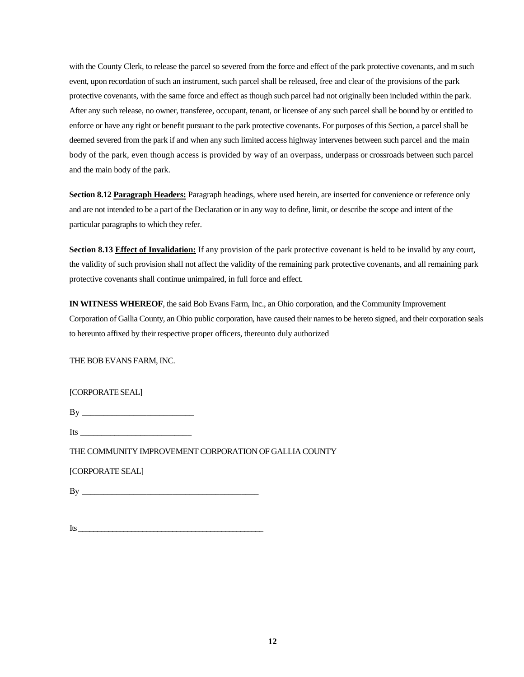with the County Clerk, to release the parcel so severed from the force and effect of the park protective covenants, and m such event, upon recordation of such an instrument, such parcel shall be released, free and clear of the provisions of the park protective covenants, with the same force and effect as though such parcel had not originally been included within the park. After any such release, no owner, transferee, occupant, tenant, or licensee of any such parcel shall be bound by or entitled to enforce or have any right or benefit pursuant to the park protective covenants. For purposes of this Section, a parcel shall be deemed severed from the park if and when any such limited access highway intervenes between such parcel and the main body of the park, even though access is provided by way of an overpass, underpass or crossroads between such parcel and the main body of the park.

**Section 8.12 Paragraph Headers:** Paragraph headings, where used herein, are inserted for convenience or reference only and are not intended to be a part of the Declaration or in any way to define, limit, or describe the scope and intent of the particular paragraphs to which they refer.

**Section 8.13 Effect of Invalidation:** If any provision of the park protective covenant is held to be invalid by any court, the validity of such provision shall not affect the validity of the remaining park protective covenants, and all remaining park protective covenants shall continue unimpaired, in full force and effect.

**IN WITNESS WHEREOF**, the said Bob Evans Farm, Inc., an Ohio corporation, and the Community Improvement Corporation of Gallia County, an Ohio public corporation, have caused their names to be hereto signed, and their corporation seals to hereunto affixed by their respective proper officers, thereunto duly authorized

THE BOB EVANS FARM, INC.

[CORPORATE SEAL]

| B |  |  |  |
|---|--|--|--|
|   |  |  |  |

Its  $\blacksquare$ 

THE COMMUNITY IMPROVEMENT CORPORATION OF GALLIA COUNTY

[CORPORATE SEAL]

By \_\_\_\_\_\_\_\_\_\_\_\_\_\_\_\_\_\_\_\_\_\_\_\_\_\_\_\_\_\_\_\_\_\_\_\_\_\_\_\_\_

Its